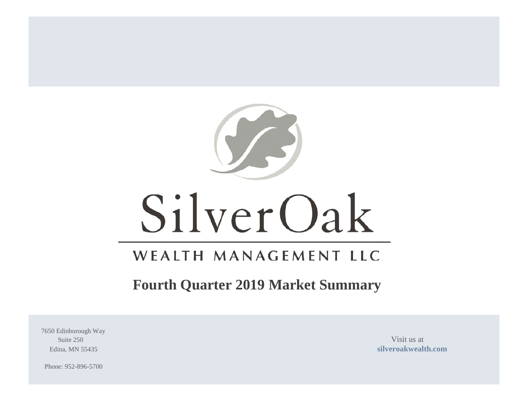

# SilverOak

# WEALTH MANAGEMENT LLC

# **Fourth Quarter 2019 Market Summary**

7650 Edinborough Way Suite 250 Visit us at

Edina, MN 55435 **[silveroakwealth.com](http://www.silveroakwealth.com/silveroakwealth.aspx)**

Phone: 952-896-5700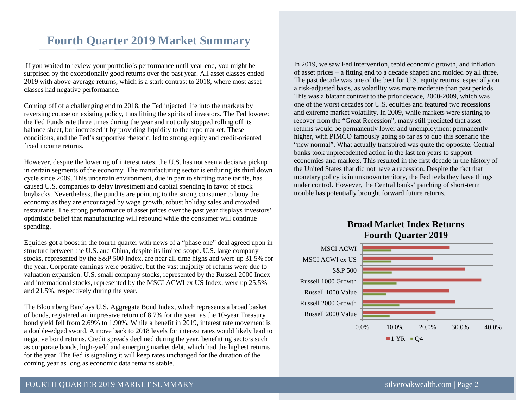# **Fourth Quarter 2019 Market Summary**

If you waited to review your portfolio's performance until year-end, you might be surprised by the exceptionally good returns over the past year. All asset classes ended 2019 with above-average returns, which is a stark contrast to 2018, where most asset classes had negative performance.

Coming off of a challenging end to 2018, the Fed injected life into the markets by reversing course on existing policy, thus lifting the spirits of investors. The Fed lowered the Fed Funds rate three times during the year and not only stopped rolling off its balance sheet, but increased it by providing liquidity to the repo market. These conditions, and the Fed's supportive rhetoric, led to strong equity and credit-oriented fixed income returns.

However, despite the lowering of interest rates, the U.S. has not seen a decisive pickup in certain segments of the economy. The manufacturing sector is enduring its third down cycle since 2009. This uncertain environment, due in part to shifting trade tariffs, has caused U.S. companies to delay investment and capital spending in favor of stock buybacks. Nevertheless, the pundits are pointing to the strong consumer to buoy the economy as they are encouraged by wage growth, robust holiday sales and crowded restaurants. The strong performance of asset prices over the past year displays investors' optimistic belief that manufacturing will rebound while the consumer will continue spending.

Equities got a boost in the fourth quarter with news of a "phase one" deal agreed upon in structure between the U.S. and China, despite its limited scope. U.S. large company stocks, represented by the S&P 500 Index, are near all-time highs and were up 31.5% for the year. Corporate earnings were positive, but the vast majority of returns were due to valuation expansion. U.S. small company stocks, represented by the Russell 2000 Index and international stocks, represented by the MSCI ACWI ex US Index, were up 25.5% and 21.5%, respectively during the year.

The Bloomberg Barclays U.S. Aggregate Bond Index, which represents a broad basket of bonds, registered an impressive return of 8.7% for the year, as the 10-year Treasury bond yield fell from 2.69% to 1.90%. While a benefit in 2019, interest rate movement is a double-edged sword. A move back to 2018 levels for interest rates would likely lead to negative bond returns. Credit spreads declined during the year, benefitting sectors such as corporate bonds, high-yield and emerging market debt, which had the highest returns for the year. The Fed is signaling it will keep rates unchanged for the duration of the coming year as long as economic data remains stable.

In 2019, we saw Fed intervention, tepid economic growth, and inflation of asset prices – a fitting end to a decade shaped and molded by all three. The past decade was one of the best for U.S. equity returns, especially on a risk-adjusted basis, as volatility was more moderate than past periods. This was a blatant contrast to the prior decade, 2000-2009, which was one of the worst decades for U.S. equities and featured two recessions and extreme market volatility. In 2009, while markets were starting to recover from the "Great Recession", many still predicted that asset returns would be permanently lower and unemployment permanently higher, with PIMCO famously going so far as to dub this scenario the "new normal". What actually transpired was quite the opposite. Central banks took unprecedented action in the last ten years to support economies and markets. This resulted in the first decade in the history of the United States that did not have a recession. Despite the fact that monetary policy is in unknown territory, the Fed feels they have things under control. However, the Central banks' patching of short-term trouble has potentially brought forward future returns.

# **Broad Market Index Returns Fourth Quarter 2019**

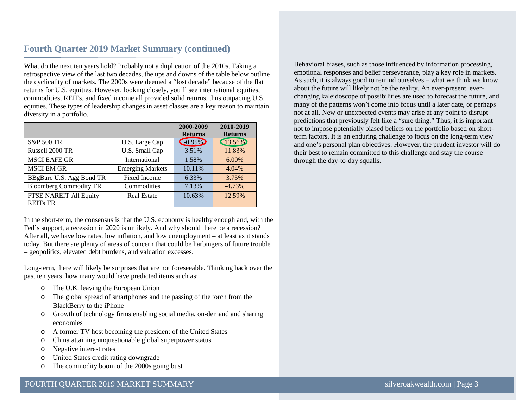# **Fourth Quarter 2019 Market Summary (continued)**

What do the next ten years hold? Probably not a duplication of the 2010s. Taking a retrospective view of the last two decades, the ups and downs of the table below outline the cyclicality of markets. The 2000s were deemed a "lost decade" because of the flat returns for U.S. equities. However, looking closely, you'll see international equities, commodities, REITs, and fixed income all provided solid returns, thus outpacing U.S. equities. These types of leadership changes in asset classes are a key reason to maintain diversity in a portfolio.

|                               |                         | 2000-2009      | 2010-2019      |
|-------------------------------|-------------------------|----------------|----------------|
|                               |                         | <b>Returns</b> | <b>Returns</b> |
| S&P 500 TR                    | U.S. Large Cap          | $-0.95\%$      | 13.56%         |
| Russell 2000 TR               | U.S. Small Cap          | 3.51%          | 11.83%         |
| <b>MSCI EAFE GR</b>           | International           | 1.58%          | $6.00\%$       |
| <b>MSCI EM GR</b>             | <b>Emerging Markets</b> | 10.11%         | 4.04%          |
| BBgBarc U.S. Agg Bond TR      | <b>Fixed Income</b>     | 6.33%          | 3.75%          |
| <b>Bloomberg Commodity TR</b> | Commodities             | 7.13%          |                |
| <b>FTSE NAREIT All Equity</b> | <b>Real Estate</b>      | 10.63%         | 12.59%         |
| <b>REITs TR</b>               |                         |                |                |

In the short-term, the consensus is that the U.S. economy is healthy enough and, with the Fed's support, a recession in 2020 is unlikely. And why should there be a recession? After all, we have low rates, low inflation, and low unemployment – at least as it stands today. But there are plenty of areas of concern that could be harbingers of future trouble – geopolitics, elevated debt burdens, and valuation excesses.

Long-term, there will likely be surprises that are not foreseeable. Thinking back over the past ten years, how many would have predicted items such as:

- o The U.K. leaving the European Union
- o The global spread of smartphones and the passing of the torch from the BlackBerry to the iPhone
- o Growth of technology firms enabling social media, on-demand and sharing economies
- o A former TV host becoming the president of the United States
- o China attaining unquestionable global superpower status
- o Negative interest rates
- o United States credit-rating downgrade
- o The commodity boom of the 2000s going bust

Behavioral biases, such as those influenced by information processing, emotional responses and belief perseverance, play a key role in markets. As such, it is always good to remind ourselves – what we think we know about the future will likely not be the reality. An ever-present, everchanging kaleidoscope of possibilities are used to forecast the future, and many of the patterns won't come into focus until a later date, or perhaps not at all. New or unexpected events may arise at any point to disrupt predictions that previously felt like a "sure thing." Thus, it is important not to impose potentially biased beliefs on the portfolio based on shortterm factors. It is an enduring challenge to focus on the long-term view and one's personal plan objectives. However, the prudent investor will do their best to remain committed to this challenge and stay the course through the day-to-day squalls.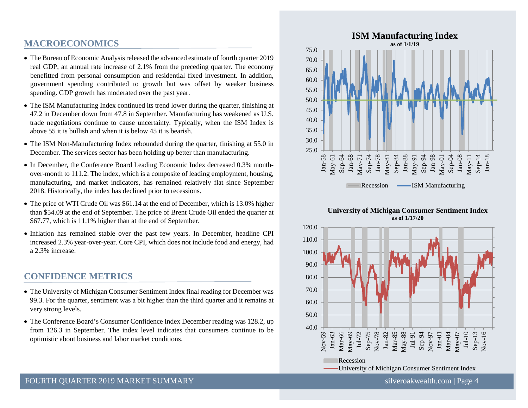# **MACROECONOMICS**

- The Bureau of Economic Analysis released the advanced estimate of fourth quarter 2019 real GDP, an annual rate increase of 2.1% from the preceding quarter. The economy benefitted from personal consumption and residential fixed investment. In addition, government spending contributed to growth but was offset by weaker business spending. GDP growth has moderated over the past year.
- The ISM Manufacturing Index continued its trend lower during the quarter, finishing at 47.2 in December down from 47.8 in September. Manufacturing has weakened as U.S. trade negotiations continue to cause uncertainty. Typically, when the ISM Index is above 55 it is bullish and when it is below 45 it is bearish.
- The ISM Non-Manufacturing Index rebounded during the quarter, finishing at 55.0 in December. The services sector has been holding up better than manufacturing.
- In December, the Conference Board Leading Economic Index decreased 0.3% monthover-month to 111.2. The index, which is a composite of leading employment, housing, manufacturing, and market indicators, has remained relatively flat since September 2018. Historically, the index has declined prior to recessions.
- The price of WTI Crude Oil was \$61.14 at the end of December, which is 13.0% higher than \$54.09 at the end of September. The price of Brent Crude Oil ended the quarter at \$67.77, which is 11.1% higher than at the end of September.
- Inflation has remained stable over the past few years. In December, headline CPI increased 2.3% year-over-year. Core CPI, which does not include food and energy, had a 2.3% increase.

# **CONFIDENCE METRICS**

- The University of Michigan Consumer Sentiment Index final reading for December was 99.3. For the quarter, sentiment was a bit higher than the third quarter and it remains at very strong levels.
- The Conference Board's Consumer Confidence Index December reading was 128.2, up from 126.3 in September. The index level indicates that consumers continue to be optimistic about business and labor market conditions.



#### **University of Michigan Consumer Sentiment Index as of 1/17/20**

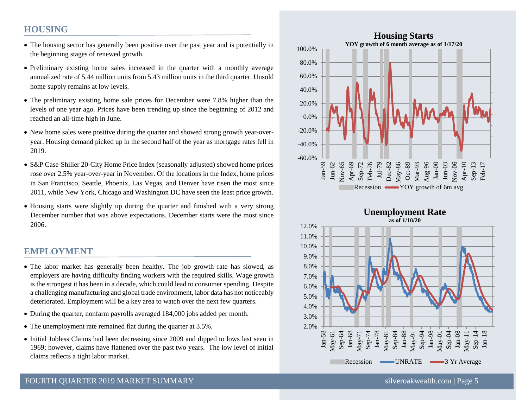# **HOUSING**

- The housing sector has generally been positive over the past year and is potentially in the beginning stages of renewed growth.
- Preliminary existing home sales increased in the quarter with a monthly average annualized rate of 5.44 million units from 5.43 million units in the third quarter. Unsold home supply remains at low levels.
- The preliminary existing home sale prices for December were 7.8% higher than the levels of one year ago. Prices have been trending up since the beginning of 2012 and reached an all-time high in June.
- New home sales were positive during the quarter and showed strong growth year-overyear. Housing demand picked up in the second half of the year as mortgage rates fell in 2019.
- S&P Case-Shiller 20-City Home Price Index (seasonally adjusted) showed home prices rose over 2.5% year-over-year in November. Of the locations in the Index, home prices in San Francisco, Seattle, Phoenix, Las Vegas, and Denver have risen the most since 2011, while New York, Chicago and Washington DC have seen the least price growth.
- Housing starts were slightly up during the quarter and finished with a very strong December number that was above expectations. December starts were the most since 2006.

# **EMPLOYMENT**

- The labor market has generally been healthy. The job growth rate has slowed, as employers are having difficulty finding workers with the required skills. Wage growth is the strongest it has been in a decade, which could lead to consumer spending. Despite a challenging manufacturing and global trade environment, labor data has not noticeably deteriorated. Employment will be a key area to watch over the next few quarters.
- During the quarter, nonfarm payrolls averaged 184,000 jobs added per month.
- The unemployment rate remained flat during the quarter at 3.5%.
- Initial Jobless Claims had been decreasing since 2009 and dipped to lows last seen in 1969; however, claims have flattened over the past two years. The low level of initial claims reflects a tight labor market.



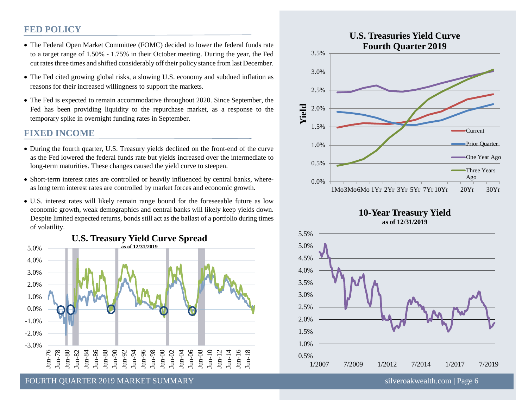# **FED POLICY**

- The Federal Open Market Committee (FOMC) decided to lower the federal funds rate to a target range of 1.50% - 1.75% in their October meeting. During the year, the Fed cut rates three times and shifted considerably off their policy stance from last December.
- The Fed cited growing global risks, a slowing U.S. economy and subdued inflation as reasons for their increased willingness to support the markets.
- The Fed is expected to remain accommodative throughout 2020. Since September, the Fed has been providing liquidity to the repurchase market, as a response to the temporary spike in overnight funding rates in September.

## **FIXED INCOME**

- During the fourth quarter, U.S. Treasury yields declined on the front-end of the curve as the Fed lowered the federal funds rate but yields increased over the intermediate to long-term maturities. These changes caused the yield curve to steepen.
- Short-term interest rates are controlled or heavily influenced by central banks, whereas long term interest rates are controlled by market forces and economic growth.
- U.S. interest rates will likely remain range bound for the foreseeable future as low economic growth, weak demographics and central banks will likely keep yields down. Despite limited expected returns, bonds still act as the ballast of a portfolio during times of volatility.









RECESSIONS THE RECESSION OF THE SUMMARY SILVER SILVER SILVER SILVER SILVER SILVER SILVER SILVER SILVER SILVER SILVER SILVER SILVER SILVER SILVER SILVER SILVER SILVER SILVER SILVER SILVER SILVER SILVER SILVER SILVER SILVER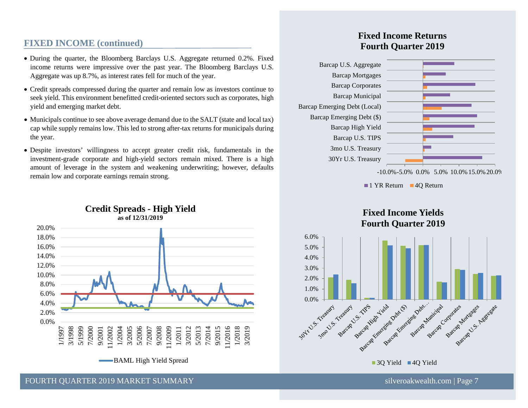# **FIXED INCOME (continued)**

- During the quarter, the Bloomberg Barclays U.S. Aggregate returned 0.2%. Fixed income returns were impressive over the past year. The Bloomberg Barclays U.S. Aggregate was up 8.7%, as interest rates fell for much of the year.
- Credit spreads compressed during the quarter and remain low as investors continue to seek yield. This environment benefitted credit-oriented sectors such as corporates, high yield and emerging market debt.
- Municipals continue to see above average demand due to the SALT (state and local tax) cap while supply remains low. This led to strong after-tax returns for municipals during the year.
- Despite investors' willingness to accept greater credit risk, fundamentals in the investment-grade corporate and high-yield sectors remain mixed. There is a high amount of leverage in the system and weakening underwriting; however, defaults remain low and corporate earnings remain strong.



#### **Credit Spreads - High Yield as of 12/31/2019**

# **Fixed Income Returns Fourth Quarter 2019**



1 YR Return 4Q Return





FOURTH QUARTER 2019 MARKET SUMMARY [silveroakwealth.com](http://www.silveroakwealth.com/silveroakwealth.aspx) | Page 7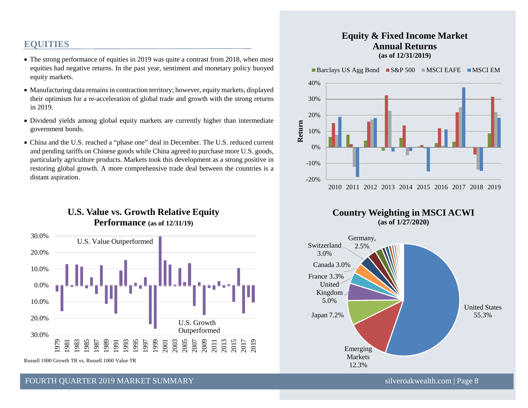# **EQUITIES**

- The strong performance of equities in 2019 was quite a contrast from 2018, when most equities had negative returns. In the past year, sentiment and monetary policy buoyed equity markets.
- Manufacturing data remains in contraction territory; however, equity markets, displayed their optimism for a re-acceleration of global trade and growth with the strong returns in 2019.
- Dividend yields among global equity markets are currently higher than intermediate government bonds.
- China and the U.S. reached a "phase one" deal in December. The U.S. reduced current and pending tariffs on Chinese goods while China agreed to purchase more U.S. goods, particularly agriculture products. Markets took this development as a strong positive in restoring global growth. A more comprehensive trade deal between the countries is a distant aspiration.

# **U.S. Value vs. Growth Relative Equity Performance (as of 12/31/19)**



FOURTH OUARTER 2019 MARKET SUMMARY SILVER AND SILVER SILVER SILVER SILVER SILVER SILVER SILVER SILVER SILVER SILVER SILVER SILVER SILVER SILVER SILVER SILVER SILVER SILVER SILVER SILVER SILVER SILVER SILVER SILVER SILVER S

## **Equity & Fixed Income Market Annual Returns (as of 12/31/2019)**

Barclays US Agg Bond  $SS\&P 500$  MSCI EAFE MSCI EM





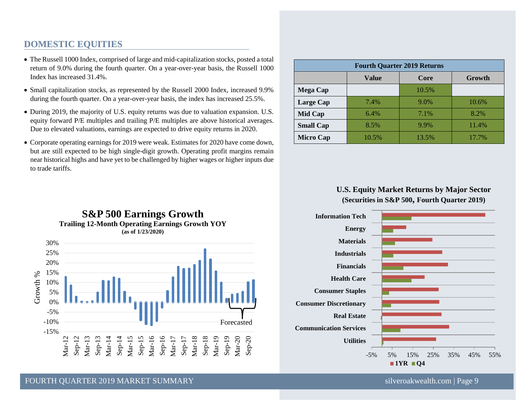# **DOMESTIC EQUITIES**

- The Russell 1000 Index, comprised of large and mid-capitalization stocks, posted a total return of 9.0% during the fourth quarter. On a year-over-year basis, the Russell 1000 Index has increased 31.4%.
- Small capitalization stocks, as represented by the Russell 2000 Index, increased 9.9% during the fourth quarter. On a year-over-year basis, the index has increased 25.5%.
- During 2019, the majority of U.S. equity returns was due to valuation expansion. U.S. equity forward P/E multiples and trailing P/E multiples are above historical averages. Due to elevated valuations, earnings are expected to drive equity returns in 2020.
- Corporate operating earnings for 2019 were weak. Estimates for 2020 have come down, but are still expected to be high single-digit growth. Operating profit margins remain near historical highs and have yet to be challenged by higher wages or higher inputs due to trade tariffs.

| <b>Fourth Quarter 2019 Returns</b> |       |         |        |  |  |
|------------------------------------|-------|---------|--------|--|--|
|                                    | Value | Core    | Growth |  |  |
| <b>Mega Cap</b>                    |       | 10.5%   |        |  |  |
| <b>Large Cap</b>                   | 7.4%  | $9.0\%$ | 10.6%  |  |  |
| Mid Cap                            | 6.4%  | 7.1%    | 8.2%   |  |  |
| <b>Small Cap</b>                   | 8.5%  | 9.9%    | 11.4%  |  |  |
| <b>Micro Cap</b>                   | 10.5% | 13.5%   | 17.7%  |  |  |

### **U.S. Equity Market Returns by Major Sector (Securities in S&P 500, Fourth Quarter 2019)**



#### **Trailing 12-Month Operating Earnings Growth YOY (as of 1/23/2020)** 30% 25% 20% 15%  $%$ Growth % Growth 9 10% 5% 0% -5% -10% Forecasted -15% Mar-12 Sep-12 Mar-13 Sep-13 Mar-14 Sep-14 Mar-20 Sep-20 Mar-15 Sep-15 Mar-16 Sep-16 Mar-17 Sep-17 Mar-18 Sep-18 Mar-19 Sep-19

**S&P 500 Earnings Growth**

FOURTH OUARTER 2019 MARKET SUMMARY SILVER AND SILVER SILVER SILVER SILVER SILVER SILVER SILVER SILVER SILVER S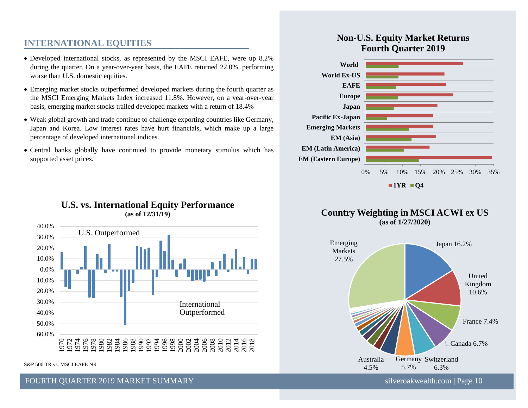# **INTERNATIONAL EQUITIES**

- Developed international stocks, as represented by the MSCI EAFE, were up 8.2% during the quarter. On a year-over-year basis, the EAFE returned 22.0%, performing worse than U.S. domestic equities.
- Emerging market stocks outperformed developed markets during the fourth quarter as the MSCI Emerging Markets Index increased 11.8%. However, on a year-over-year basis, emerging market stocks trailed developed markets with a return of 18.4%
- Weak global growth and trade continue to challenge exporting countries like Germany, Japan and Korea. Low interest rates have hurt financials, which make up a large percentage of developed international indices.
- Central banks globally have continued to provide monetary stimulus which has supported asset prices.



# **U.S. vs. International Equity Performance (as of 12/31/19)**

S&P 500 TR vs. MSCI EAFE NR

FOURTH OUARTER 2019 MARKET SUMMARY SILVERSER AND SILVERSER SILVERSER SILVERSER SILVERSER SILVERSER SILVERSER S

# **Non-U.S. Equity Market Returns Fourth Quarter 2019**